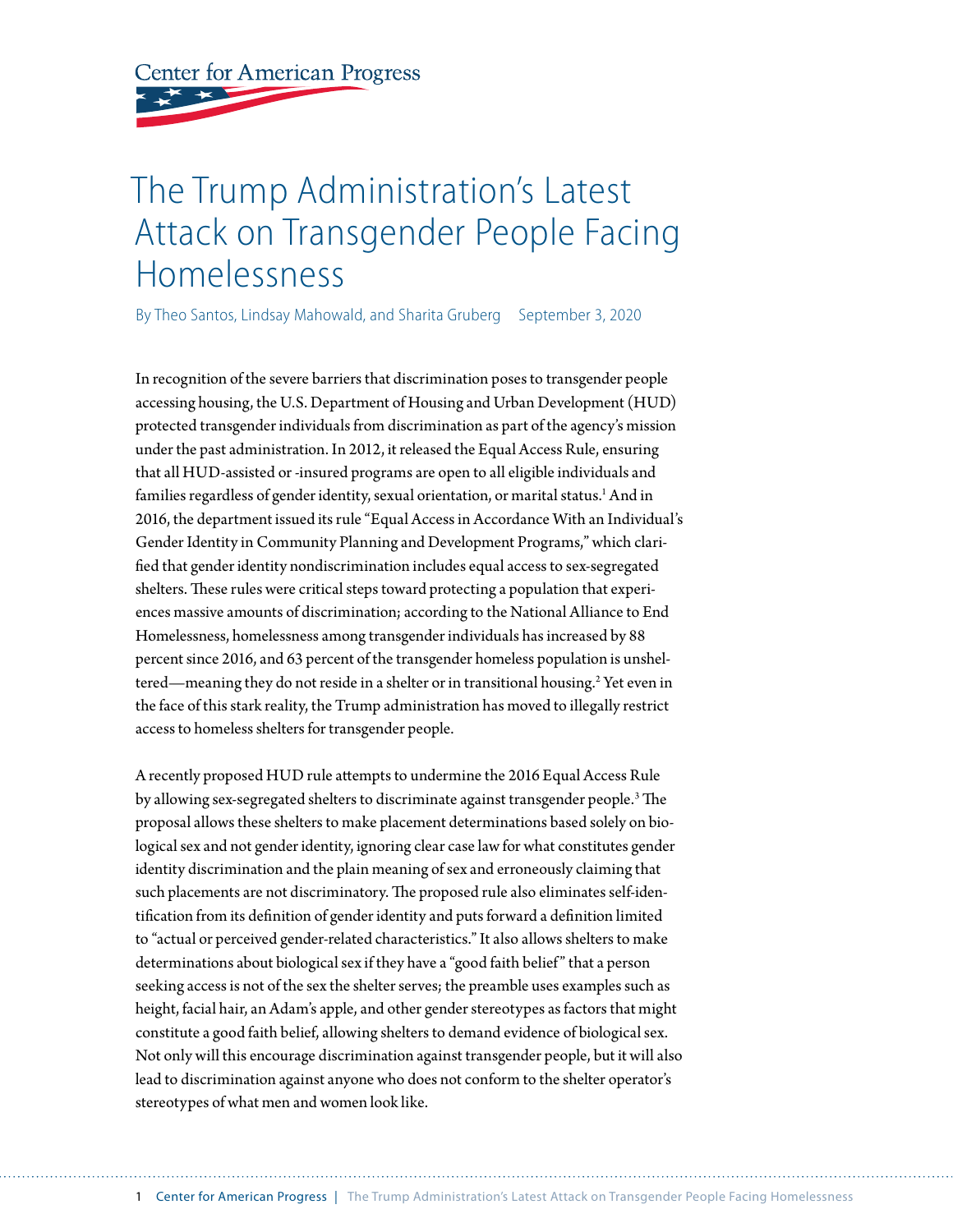**Center for American Progress** 

# The Trump Administration's Latest Attack on Transgender People Facing Homelessness

By Theo Santos, Lindsay Mahowald, and Sharita Gruberg September 3, 2020

In recognition of the severe barriers that discrimination poses to transgender people accessing housing, the U.S. Department of Housing and Urban Development (HUD) protected transgender individuals from discrimination as part of the agency's mission under the past administration. In 2012, it released the Equal Access Rule, ensuring that all HUD-assisted or -insured programs are open to all eligible individuals and families regardless of gender identity, sexual orientation, or marital status.<sup>1</sup> And in 2016, the department issued its rule "Equal Access in Accordance With an Individual's Gender Identity in Community Planning and Development Programs," which clarified that gender identity nondiscrimination includes equal access to sex-segregated shelters. These rules were critical steps toward protecting a population that experiences massive amounts of discrimination; according to the National Alliance to End Homelessness, homelessness among transgender individuals has increased by 88 percent since 2016, and 63 percent of the transgender homeless population is unsheltered—meaning they do not reside in a shelter or in transitional housing.2 Yet even in the face of this stark reality, the Trump administration has moved to illegally restrict access to homeless shelters for transgender people.

A recently proposed HUD rule attempts to undermine the 2016 Equal Access Rule by allowing sex-segregated shelters to discriminate against transgender people.3 The proposal allows these shelters to make placement determinations based solely on biological sex and not gender identity, ignoring clear case law for what constitutes gender identity discrimination and the plain meaning of sex and erroneously claiming that such placements are not discriminatory. The proposed rule also eliminates self-identification from its definition of gender identity and puts forward a definition limited to "actual or perceived gender-related characteristics." It also allows shelters to make determinations about biological sex if they have a "good faith belief" that a person seeking access is not of the sex the shelter serves; the preamble uses examples such as height, facial hair, an Adam's apple, and other gender stereotypes as factors that might constitute a good faith belief, allowing shelters to demand evidence of biological sex. Not only will this encourage discrimination against transgender people, but it will also lead to discrimination against anyone who does not conform to the shelter operator's stereotypes of what men and women look like.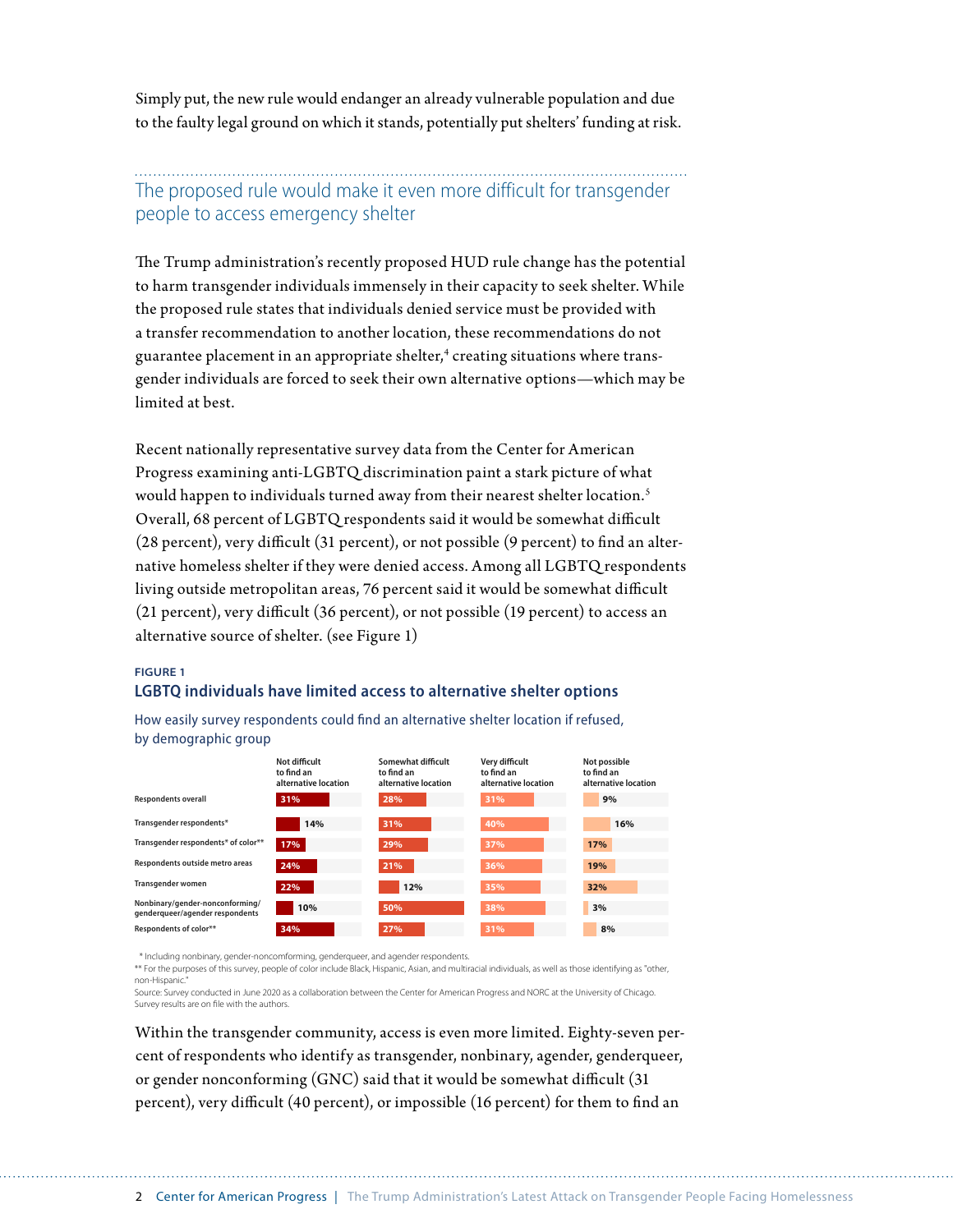Simply put, the new rule would endanger an already vulnerable population and due to the faulty legal ground on which it stands, potentially put shelters' funding at risk.

## The proposed rule would make it even more difficult for transgender people to access emergency shelter

The Trump administration's recently proposed HUD rule change has the potential to harm transgender individuals immensely in their capacity to seek shelter. While the proposed rule states that individuals denied service must be provided with a transfer recommendation to another location, these recommendations do not guarantee placement in an appropriate shelter, $^{\rm 4}$  creating situations where transgender individuals are forced to seek their own alternative options—which may be limited at best.

Recent nationally representative survey data from the Center for American Progress examining anti-LGBTQ discrimination paint a stark picture of what would happen to individuals turned away from their nearest shelter location.<sup>5</sup> Overall, 68 percent of LGBTQ respondents said it would be somewhat difficult (28 percent), very difficult (31 percent), or not possible (9 percent) to find an alternative homeless shelter if they were denied access. Among all LGBTQ respondents living outside metropolitan areas, 76 percent said it would be somewhat difficult (21 percent), very difficult (36 percent), or not possible (19 percent) to access an alternative source of shelter. (see Figure 1)

#### **FIGURE 1**

#### **LGBTQ individuals have limited access to alternative shelter options**

How easily survey respondents could find an alternative shelter location if refused, by demographic group



\* Including nonbinary, gender-noncomforming, genderqueer, and agender respondents.

\*\* For the purposes of this survey, people of color include Black, Hispanic, Asian, and multiracial individuals, as well as those identifying as "other, non-Hispanic."

Source: Survey conducted in June 2020 as a collaboration between the Center for American Progress and NORC at the University of Chicago. Survey results are on file with the authors

Within the transgender community, access is even more limited. Eighty-seven percent of respondents who identify as transgender, nonbinary, agender, genderqueer, or gender nonconforming (GNC) said that it would be somewhat difficult (31 percent), very difficult (40 percent), or impossible (16 percent) for them to find an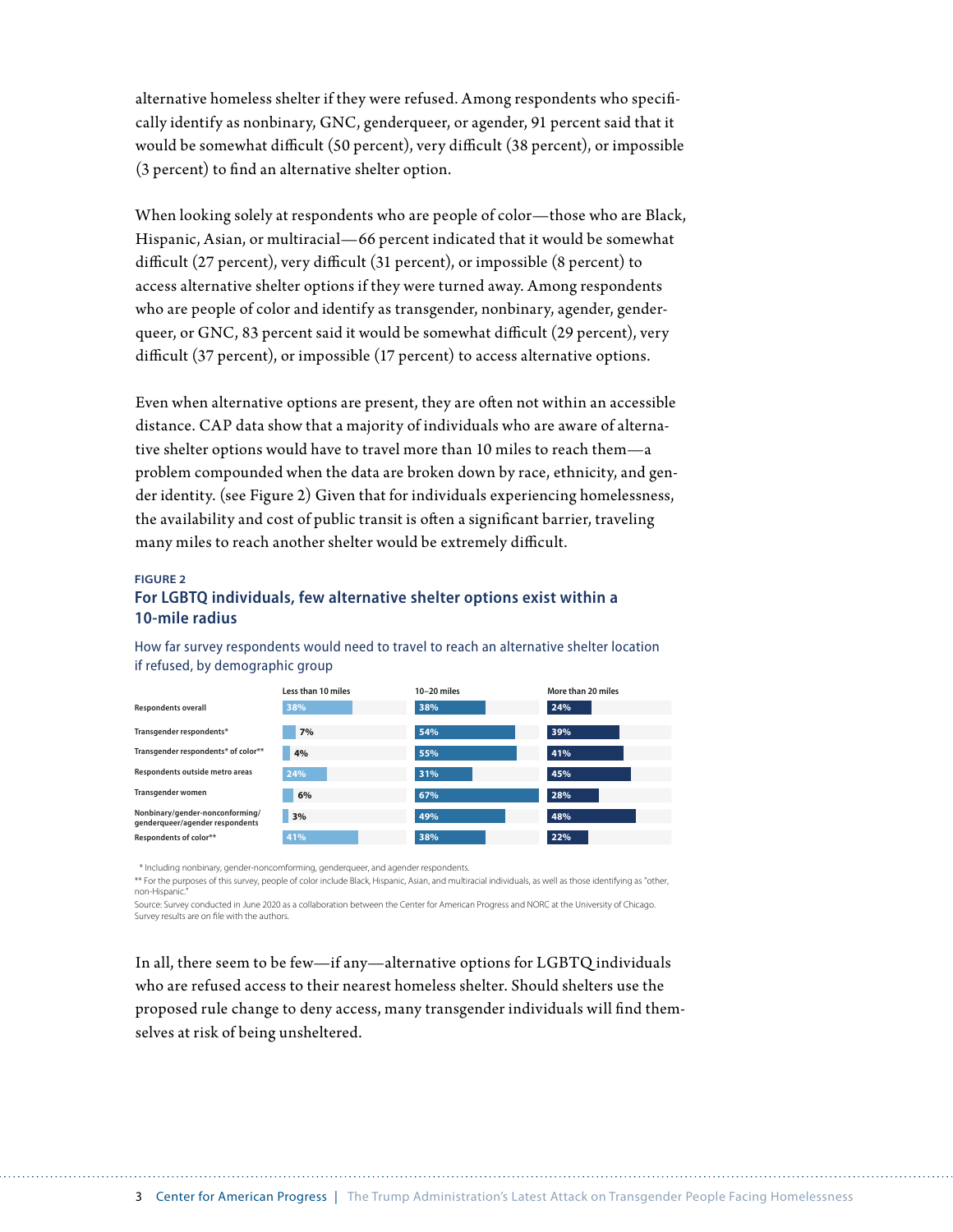alternative homeless shelter if they were refused. Among respondents who specifically identify as nonbinary, GNC, genderqueer, or agender, 91 percent said that it would be somewhat difficult (50 percent), very difficult (38 percent), or impossible (3 percent) to find an alternative shelter option.

When looking solely at respondents who are people of color—those who are Black, Hispanic, Asian, or multiracial—66 percent indicated that it would be somewhat difficult (27 percent), very difficult (31 percent), or impossible (8 percent) to access alternative shelter options if they were turned away. Among respondents who are people of color and identify as transgender, nonbinary, agender, genderqueer, or GNC, 83 percent said it would be somewhat difficult (29 percent), very difficult (37 percent), or impossible (17 percent) to access alternative options.

Even when alternative options are present, they are often not within an accessible distance. CAP data show that a majority of individuals who are aware of alternative shelter options would have to travel more than 10 miles to reach them—a problem compounded when the data are broken down by race, ethnicity, and gender identity. (see Figure 2) Given that for individuals experiencing homelessness, the availability and cost of public transit is often a significant barrier, traveling many miles to reach another shelter would be extremely difficult.

#### **FIGURE 2**

#### **For LGBTQ individuals, few alternative shelter options exist within a 10-mile radius**



How far survey respondents would need to travel to reach an alternative shelter location if refused, by demographic group

\* Including nonbinary, gender-noncomforming, genderqueer, and agender respondents.

\*\* For the purposes of this survey, people of color include Black, Hispanic, Asian, and multiracial individuals, as well as those identifying as "other, non-Hispanic."

Source: Survey conducted in June 2020 as a collaboration between the Center for American Progress and NORC at the University of Chicago. Survey results are on file with the authors.

In all, there seem to be few—if any—alternative options for LGBTQ individuals who are refused access to their nearest homeless shelter. Should shelters use the proposed rule change to deny access, many transgender individuals will find themselves at risk of being unsheltered.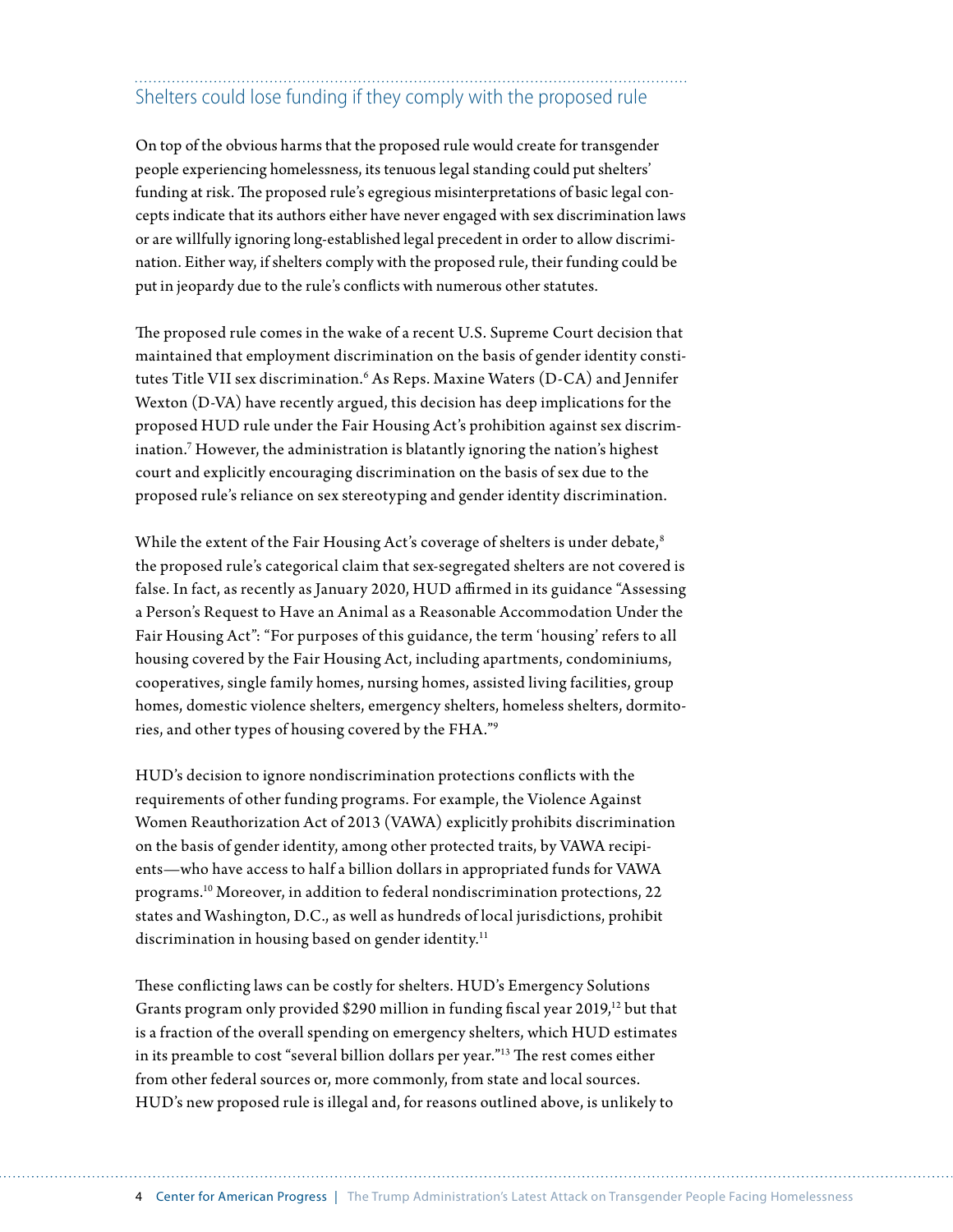## Shelters could lose funding if they comply with the proposed rule

On top of the obvious harms that the proposed rule would create for transgender people experiencing homelessness, its tenuous legal standing could put shelters' funding at risk. The proposed rule's egregious misinterpretations of basic legal concepts indicate that its authors either have never engaged with sex discrimination laws or are willfully ignoring long-established legal precedent in order to allow discrimination. Either way, if shelters comply with the proposed rule, their funding could be put in jeopardy due to the rule's conflicts with numerous other statutes.

The proposed rule comes in the wake of a recent U.S. Supreme Court decision that maintained that employment discrimination on the basis of gender identity constitutes Title VII sex discrimination.<sup>6</sup> As Reps. Maxine Waters (D-CA) and Jennifer Wexton (D-VA) have recently argued, this decision has deep implications for the proposed HUD rule under the Fair Housing Act's prohibition against sex discrimination.7 However, the administration is blatantly ignoring the nation's highest court and explicitly encouraging discrimination on the basis of sex due to the proposed rule's reliance on sex stereotyping and gender identity discrimination.

While the extent of the Fair Housing Act's coverage of shelters is under debate,<sup>8</sup> the proposed rule's categorical claim that sex-segregated shelters are not covered is false. In fact, as recently as January 2020, HUD affirmed in its guidance "Assessing a Person's Request to Have an Animal as a Reasonable Accommodation Under the Fair Housing Act": "For purposes of this guidance, the term 'housing' refers to all housing covered by the Fair Housing Act, including apartments, condominiums, cooperatives, single family homes, nursing homes, assisted living facilities, group homes, domestic violence shelters, emergency shelters, homeless shelters, dormitories, and other types of housing covered by the FHA."9

HUD's decision to ignore nondiscrimination protections conflicts with the requirements of other funding programs. For example, the Violence Against Women Reauthorization Act of 2013 (VAWA) explicitly prohibits discrimination on the basis of gender identity, among other protected traits, by VAWA recipients—who have access to half a billion dollars in appropriated funds for VAWA programs.10 Moreover, in addition to federal nondiscrimination protections, 22 states and Washington, D.C., as well as hundreds of local jurisdictions, prohibit discrimination in housing based on gender identity.<sup>11</sup>

These conflicting laws can be costly for shelters. HUD's Emergency Solutions Grants program only provided \$290 million in funding fiscal year 2019,<sup>12</sup> but that is a fraction of the overall spending on emergency shelters, which HUD estimates in its preamble to cost "several billion dollars per year."13 The rest comes either from other federal sources or, more commonly, from state and local sources. HUD's new proposed rule is illegal and, for reasons outlined above, is unlikely to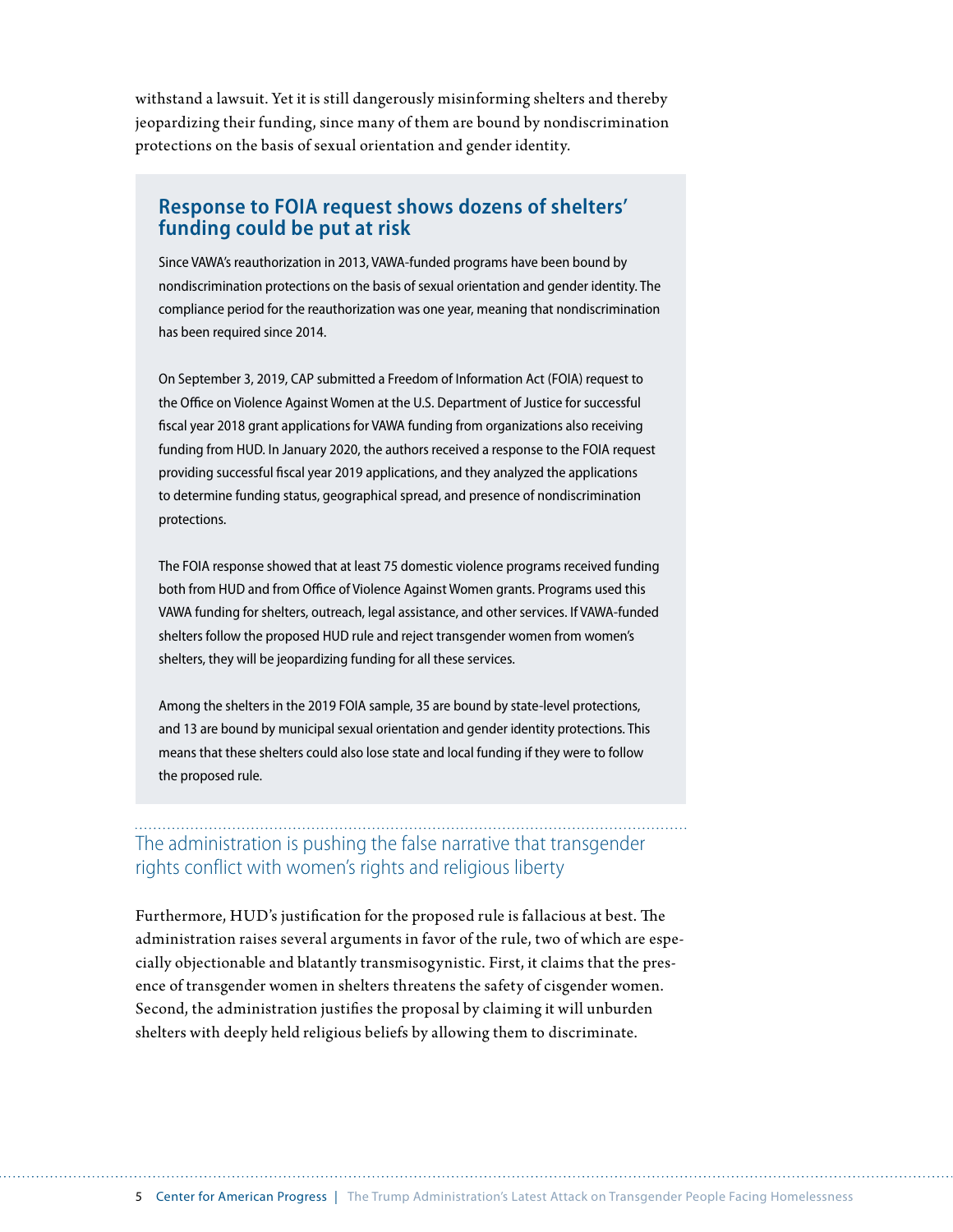withstand a lawsuit. Yet it is still dangerously misinforming shelters and thereby jeopardizing their funding, since many of them are bound by nondiscrimination protections on the basis of sexual orientation and gender identity.

### **Response to FOIA request shows dozens of shelters' funding could be put at risk**

Since VAWA's reauthorization in 2013, VAWA-funded programs have been bound by nondiscrimination protections on the basis of sexual orientation and gender identity. The compliance period for the reauthorization was one year, meaning that nondiscrimination has been required since 2014.

On September 3, 2019, CAP submitted a Freedom of Information Act (FOIA) request to the Office on Violence Against Women at the U.S. Department of Justice for successful fiscal year 2018 grant applications for VAWA funding from organizations also receiving funding from HUD. In January 2020, the authors received a response to the FOIA request providing successful fiscal year 2019 applications, and they analyzed the applications to determine funding status, geographical spread, and presence of nondiscrimination protections.

The FOIA response showed that at least 75 domestic violence programs received funding both from HUD and from Office of Violence Against Women grants. Programs used this VAWA funding for shelters, outreach, legal assistance, and other services. If VAWA-funded shelters follow the proposed HUD rule and reject transgender women from women's shelters, they will be jeopardizing funding for all these services.

Among the shelters in the 2019 FOIA sample, 35 are bound by state-level protections, and 13 are bound by municipal sexual orientation and gender identity protections. This means that these shelters could also lose state and local funding if they were to follow the proposed rule.

## The administration is pushing the false narrative that transgender rights conflict with women's rights and religious liberty

Furthermore, HUD's justification for the proposed rule is fallacious at best. The administration raises several arguments in favor of the rule, two of which are especially objectionable and blatantly transmisogynistic. First, it claims that the presence of transgender women in shelters threatens the safety of cisgender women. Second, the administration justifies the proposal by claiming it will unburden shelters with deeply held religious beliefs by allowing them to discriminate.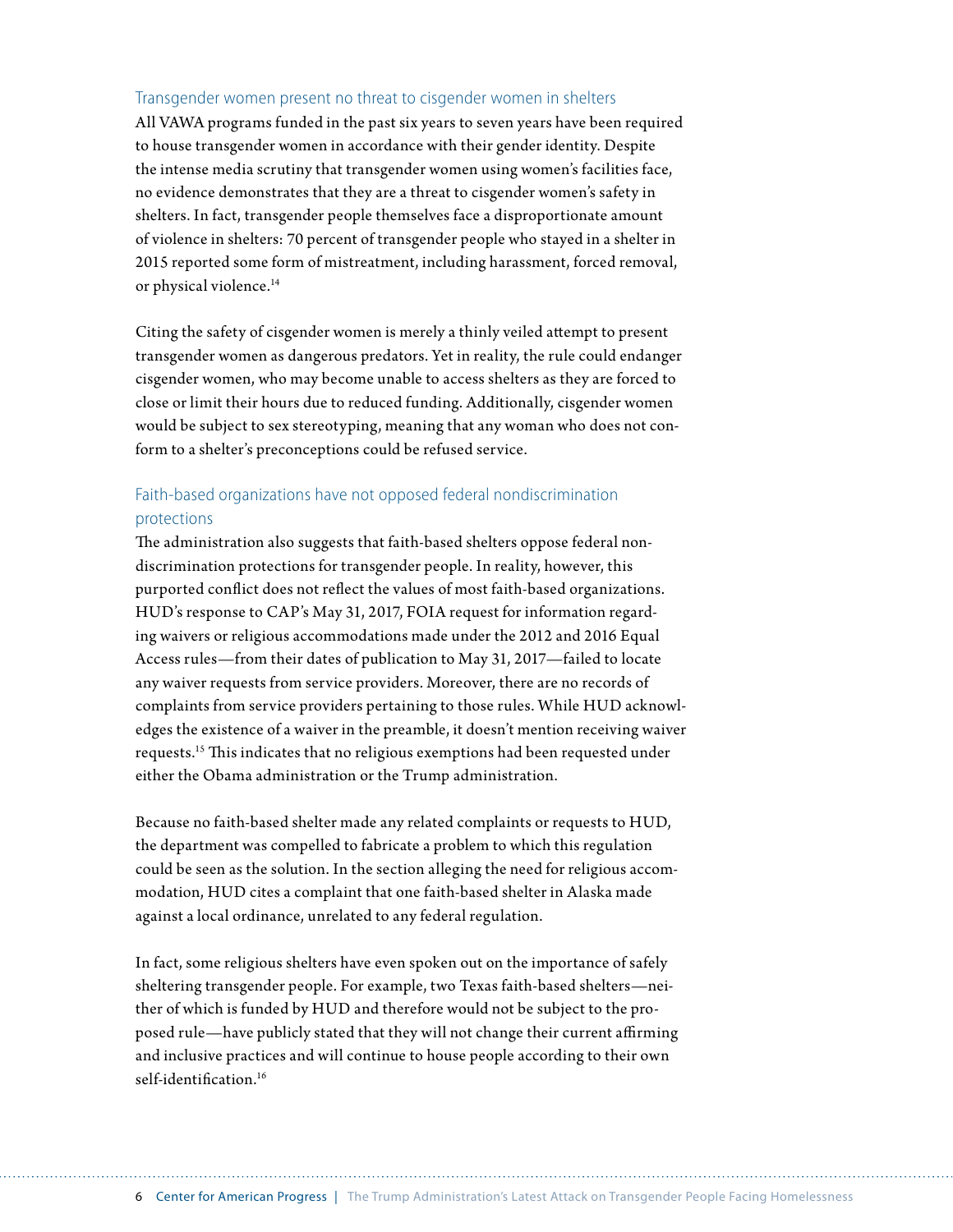#### Transgender women present no threat to cisgender women in shelters

All VAWA programs funded in the past six years to seven years have been required to house transgender women in accordance with their gender identity. Despite the intense media scrutiny that transgender women using women's facilities face, no evidence demonstrates that they are a threat to cisgender women's safety in shelters. In fact, transgender people themselves face a disproportionate amount of violence in shelters: 70 percent of transgender people who stayed in a shelter in 2015 reported some form of mistreatment, including harassment, forced removal, or physical violence.<sup>14</sup>

Citing the safety of cisgender women is merely a thinly veiled attempt to present transgender women as dangerous predators. Yet in reality, the rule could endanger cisgender women, who may become unable to access shelters as they are forced to close or limit their hours due to reduced funding. Additionally, cisgender women would be subject to sex stereotyping, meaning that any woman who does not conform to a shelter's preconceptions could be refused service.

#### Faith-based organizations have not opposed federal nondiscrimination protections

The administration also suggests that faith-based shelters oppose federal nondiscrimination protections for transgender people. In reality, however, this purported conflict does not reflect the values of most faith-based organizations. HUD's response to CAP's May 31, 2017, FOIA request for information regarding waivers or religious accommodations made under the 2012 and 2016 Equal Access rules—from their dates of publication to May 31, 2017—failed to locate any waiver requests from service providers. Moreover, there are no records of complaints from service providers pertaining to those rules. While HUD acknowledges the existence of a waiver in the preamble, it doesn't mention receiving waiver requests.15 This indicates that no religious exemptions had been requested under either the Obama administration or the Trump administration.

Because no faith-based shelter made any related complaints or requests to HUD, the department was compelled to fabricate a problem to which this regulation could be seen as the solution. In the section alleging the need for religious accommodation, HUD cites a complaint that one faith-based shelter in Alaska made against a local ordinance, unrelated to any federal regulation.

In fact, some religious shelters have even spoken out on the importance of safely sheltering transgender people. For example, two Texas faith-based shelters—neither of which is funded by HUD and therefore would not be subject to the proposed rule—have publicly stated that they will not change their current affirming and inclusive practices and will continue to house people according to their own self-identification.<sup>16</sup>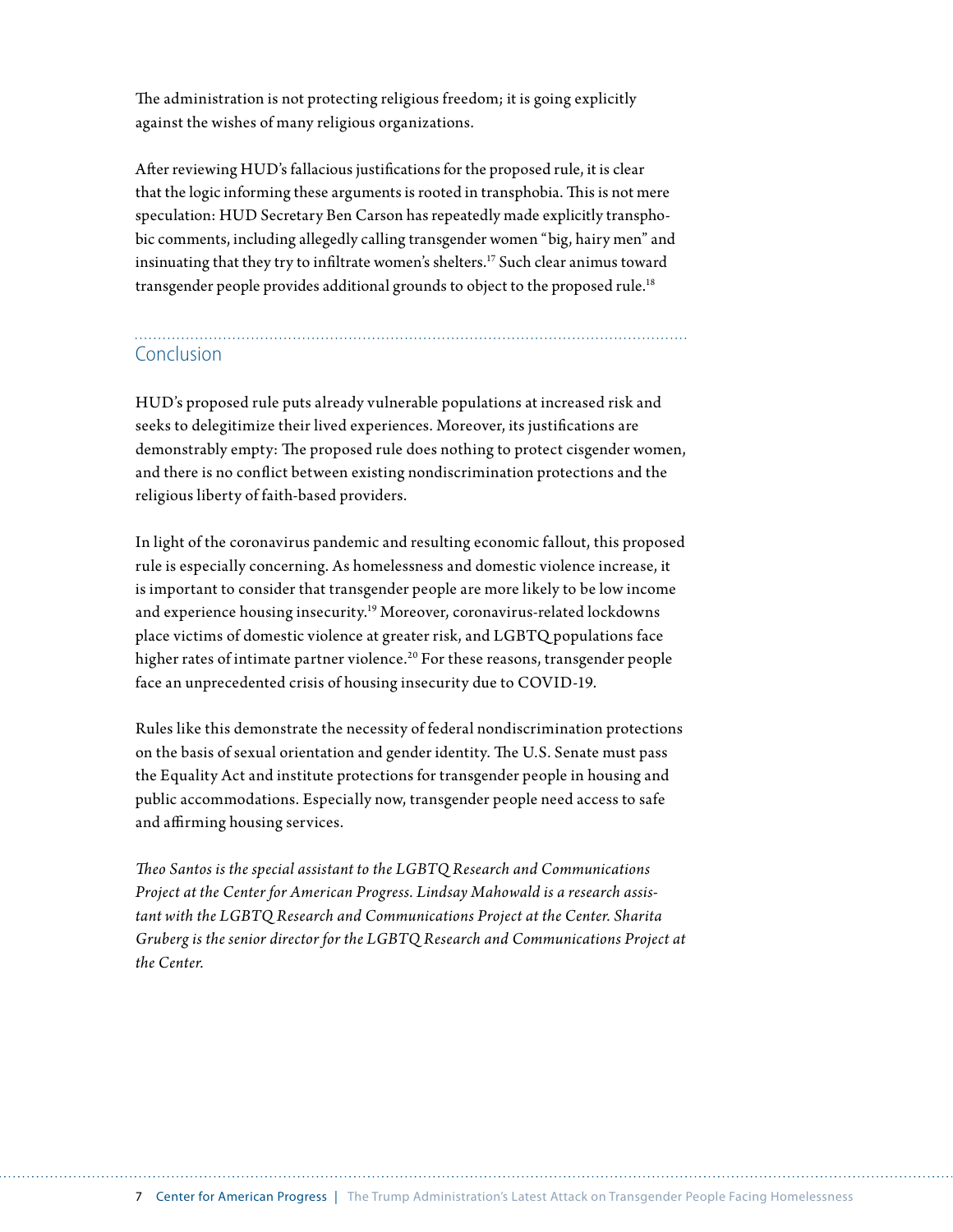The administration is not protecting religious freedom; it is going explicitly against the wishes of many religious organizations.

After reviewing HUD's fallacious justifications for the proposed rule, it is clear that the logic informing these arguments is rooted in transphobia. This is not mere speculation: HUD Secretary Ben Carson has repeatedly made explicitly transphobic comments, including allegedly calling transgender women "big, hairy men" and insinuating that they try to infiltrate women's shelters.17 Such clear animus toward transgender people provides additional grounds to object to the proposed rule.<sup>18</sup>

## Conclusion

HUD's proposed rule puts already vulnerable populations at increased risk and seeks to delegitimize their lived experiences. Moreover, its justifications are demonstrably empty: The proposed rule does nothing to protect cisgender women, and there is no conflict between existing nondiscrimination protections and the religious liberty of faith-based providers.

In light of the coronavirus pandemic and resulting economic fallout, this proposed rule is especially concerning. As homelessness and domestic violence increase, it is important to consider that transgender people are more likely to be low income and experience housing insecurity.19 Moreover, coronavirus-related lockdowns place victims of domestic violence at greater risk, and LGBTQ populations face higher rates of intimate partner violence.<sup>20</sup> For these reasons, transgender people face an unprecedented crisis of housing insecurity due to COVID-19.

Rules like this demonstrate the necessity of federal nondiscrimination protections on the basis of sexual orientation and gender identity. The U.S. Senate must pass the Equality Act and institute protections for transgender people in housing and public accommodations. Especially now, transgender people need access to safe and affirming housing services.

*Theo Santos is the special assistant to the LGBTQ Research and Communications Project at the Center for American Progress. Lindsay Mahowald is a research assistant with the LGBTQ Research and Communications Project at the Center. Sharita Gruberg is the senior director for the LGBTQ Research and Communications Project at the Center.*